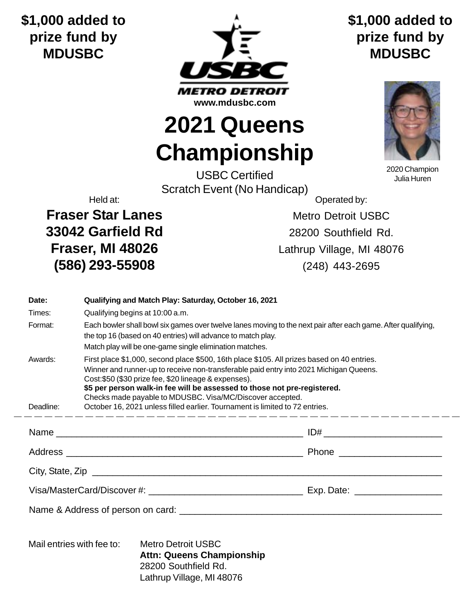## **\$1,000 added to prize fund by MDUSBC**



## **\$1,000 added to prize fund by MDUSBC**



2020 Champion Julia Huren

**Championship** USBC Certified Scratch Event (No Handicap)

**2021 Queens**

**Fraser Star Lanes** Metro Detroit USBC **33042 Garfield Rd** 28200 Southfield Rd. **(586) 293-55908** (248) 443-2695

Held at: Contract the Contract of Contract of Contract of Contract of Contract of Contract of Contract of Contract of Contract of Contract of Contract of Contract of Contract of Contract of Contract of Contract of Contract

**Fraser, MI 48026** Lathrup Village, MI 48076

| Date:                                                                                      |                                                                                                                                                                                                                                                                                                                                                                                                                                                                        | Qualifying and Match Play: Saturday, October 16, 2021 |  |  |
|--------------------------------------------------------------------------------------------|------------------------------------------------------------------------------------------------------------------------------------------------------------------------------------------------------------------------------------------------------------------------------------------------------------------------------------------------------------------------------------------------------------------------------------------------------------------------|-------------------------------------------------------|--|--|
| Times:                                                                                     | Qualifying begins at 10:00 a.m.                                                                                                                                                                                                                                                                                                                                                                                                                                        |                                                       |  |  |
| Format:                                                                                    | Each bowler shall bowl six games over twelve lanes moving to the next pair after each game. After qualifying,<br>the top 16 (based on 40 entries) will advance to match play.<br>Match play will be one-game single elimination matches.                                                                                                                                                                                                                               |                                                       |  |  |
| Awards:<br>Deadline:                                                                       | First place \$1,000, second place \$500, 16th place \$105. All prizes based on 40 entries.<br>Winner and runner-up to receive non-transferable paid entry into 2021 Michigan Queens.<br>Cost: \$50 (\$30 prize fee, \$20 lineage & expenses).<br>\$5 per person walk-in fee will be assessed to those not pre-registered.<br>Checks made payable to MDUSBC. Visa/MC/Discover accepted.<br>October 16, 2021 unless filled earlier. Tournament is limited to 72 entries. |                                                       |  |  |
|                                                                                            |                                                                                                                                                                                                                                                                                                                                                                                                                                                                        |                                                       |  |  |
|                                                                                            |                                                                                                                                                                                                                                                                                                                                                                                                                                                                        |                                                       |  |  |
|                                                                                            |                                                                                                                                                                                                                                                                                                                                                                                                                                                                        |                                                       |  |  |
|                                                                                            |                                                                                                                                                                                                                                                                                                                                                                                                                                                                        |                                                       |  |  |
|                                                                                            |                                                                                                                                                                                                                                                                                                                                                                                                                                                                        |                                                       |  |  |
| Mail entries with fee to:<br><b>Metro Detroit USBC</b><br><b>Attn: Queens Championship</b> |                                                                                                                                                                                                                                                                                                                                                                                                                                                                        |                                                       |  |  |

28200 Southfield Rd. Lathrup Village, MI 48076